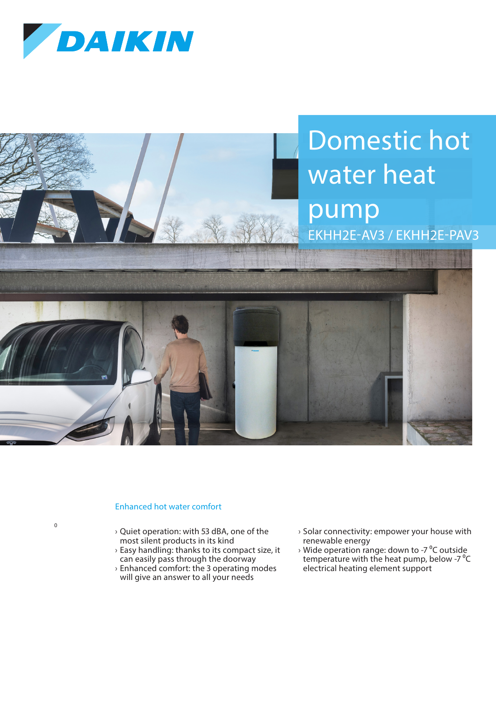

## Domestic hot water heat pump EKHH2E-AV3 / EKHH2E-PAV3



## Enhanced hot water comfort

 $\overline{0}$ 

› Quiet operation: with 53 dBA, one of the most silent products in its kind

- › Easy handling: thanks to its compact size, it can easily pass through the doorway
- › Enhanced comfort: the 3 operating modes will give an answer to all your needs
- › Solar connectivity: empower your house with renewable energy
- $\rightarrow$  Wide operation range: down to -7 °C outside temperature with the heat pump, below -7<sup>°</sup>C electrical heating element support